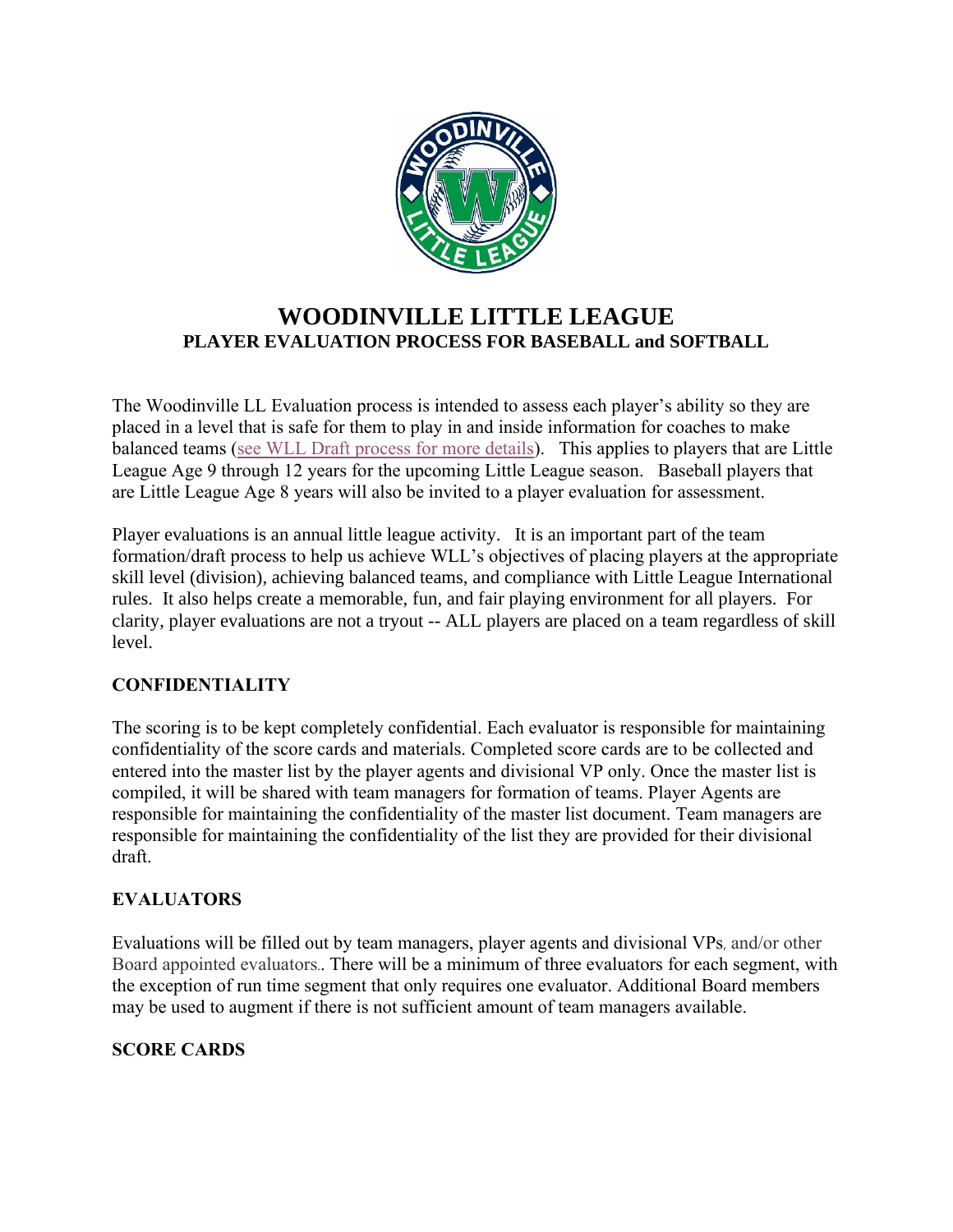

# **WOODINVILLE LITTLE LEAGUE PLAYER EVALUATION PROCESS FOR BASEBALL and SOFTBALL**

The Woodinville LL Evaluation process is intended to assess each player's ability so they are placed in a level that is safe for them to play in and inside information for coaches to make balanced teams [\(see WLL Draft process for more details\)](https://www.woodinvillelittleleague.com/wp-content/uploads/sites/2484/2022/01/2022-WLL-Draft-Process.pdf). This applies to players that are Little League Age 9 through 12 years for the upcoming Little League season. Baseball players that are Little League Age 8 years will also be invited to a player evaluation for assessment.

Player evaluations is an annual little league activity. It is an important part of the team formation/draft process to help us achieve WLL's objectives of placing players at the appropriate skill level (division), achieving balanced teams, and compliance with Little League International rules. It also helps create a memorable, fun, and fair playing environment for all players. For clarity, player evaluations are not a tryout -- ALL players are placed on a team regardless of skill level.

### **CONFIDENTIALITY**

The scoring is to be kept completely confidential. Each evaluator is responsible for maintaining confidentiality of the score cards and materials. Completed score cards are to be collected and entered into the master list by the player agents and divisional VP only. Once the master list is compiled, it will be shared with team managers for formation of teams. Player Agents are responsible for maintaining the confidentiality of the master list document. Team managers are responsible for maintaining the confidentiality of the list they are provided for their divisional draft.

### **EVALUATORS**

Evaluations will be filled out by team managers, player agents and divisional VPs, and/or other Board appointed evaluators.. There will be a minimum of three evaluators for each segment, with the exception of run time segment that only requires one evaluator. Additional Board members may be used to augment if there is not sufficient amount of team managers available.

### **SCORE CARDS**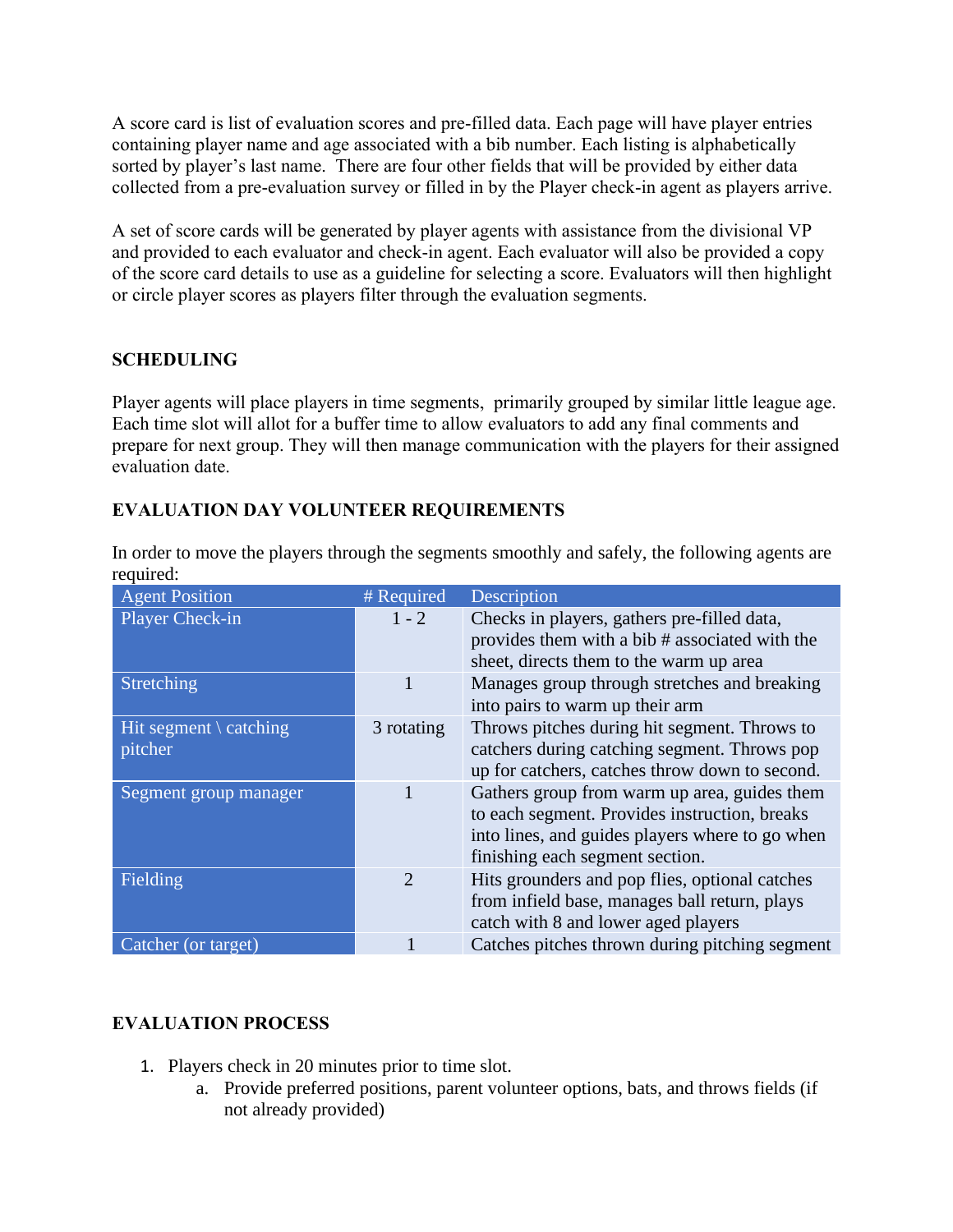A score card is list of evaluation scores and pre-filled data. Each page will have player entries containing player name and age associated with a bib number. Each listing is alphabetically sorted by player's last name. There are four other fields that will be provided by either data collected from a pre-evaluation survey or filled in by the Player check-in agent as players arrive.

A set of score cards will be generated by player agents with assistance from the divisional VP and provided to each evaluator and check-in agent. Each evaluator will also be provided a copy of the score card details to use as a guideline for selecting a score. Evaluators will then highlight or circle player scores as players filter through the evaluation segments.

# **SCHEDULING**

Player agents will place players in time segments, primarily grouped by similar little league age. Each time slot will allot for a buffer time to allow evaluators to add any final comments and prepare for next group. They will then manage communication with the players for their assigned evaluation date.

# **EVALUATION DAY VOLUNTEER REQUIREMENTS**

In order to move the players through the segments smoothly and safely, the following agents are required:

| <b>Agent Position</b>                       | # Required     | Description                                                                                                                                                                         |
|---------------------------------------------|----------------|-------------------------------------------------------------------------------------------------------------------------------------------------------------------------------------|
| Player Check-in                             | $1 - 2$        | Checks in players, gathers pre-filled data,<br>provides them with a bib # associated with the<br>sheet, directs them to the warm up area                                            |
| Stretching                                  | 1              | Manages group through stretches and breaking<br>into pairs to warm up their arm                                                                                                     |
| Hit segment $\setminus$ catching<br>pitcher | 3 rotating     | Throws pitches during hit segment. Throws to<br>catchers during catching segment. Throws pop<br>up for catchers, catches throw down to second.                                      |
| Segment group manager                       | 1              | Gathers group from warm up area, guides them<br>to each segment. Provides instruction, breaks<br>into lines, and guides players where to go when<br>finishing each segment section. |
| Fielding                                    | $\overline{2}$ | Hits grounders and pop flies, optional catches<br>from infield base, manages ball return, plays<br>catch with 8 and lower aged players                                              |
| Catcher (or target)                         |                | Catches pitches thrown during pitching segment                                                                                                                                      |

# **EVALUATION PROCESS**

- 1. Players check in 20 minutes prior to time slot.
	- a. Provide preferred positions, parent volunteer options, bats, and throws fields (if not already provided)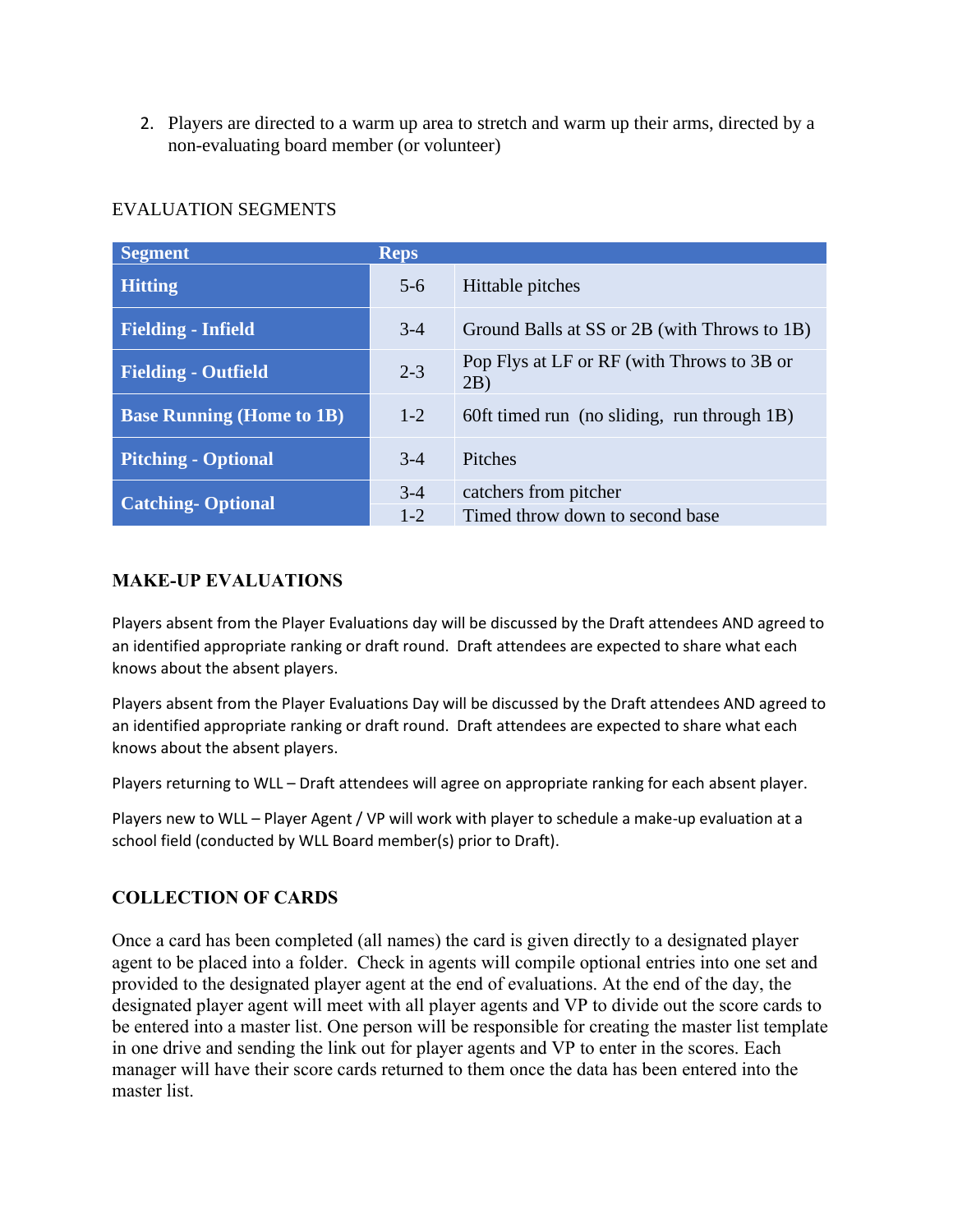2. Players are directed to a warm up area to stretch and warm up their arms, directed by a non-evaluating board member (or volunteer)

| <b>Segment</b>                   | <b>Reps</b> |                                                   |
|----------------------------------|-------------|---------------------------------------------------|
| <b>Hitting</b>                   | $5 - 6$     | Hittable pitches                                  |
| <b>Fielding - Infield</b>        | $3-4$       | Ground Balls at SS or 2B (with Throws to 1B)      |
| <b>Fielding - Outfield</b>       | $2 - 3$     | Pop Flys at LF or RF (with Throws to 3B or<br>2B) |
| <b>Base Running (Home to 1B)</b> | $1 - 2$     | 60ft timed run (no sliding, run through 1B)       |
| <b>Pitching - Optional</b>       | $3-4$       | Pitches                                           |
| <b>Catching-Optional</b>         | $3 - 4$     | catchers from pitcher                             |
|                                  | $1 - 2$     | Timed throw down to second base                   |

# EVALUATION SEGMENTS

### **MAKE-UP EVALUATIONS**

Players absent from the Player Evaluations day will be discussed by the Draft attendees AND agreed to an identified appropriate ranking or draft round. Draft attendees are expected to share what each knows about the absent players.

Players absent from the Player Evaluations Day will be discussed by the Draft attendees AND agreed to an identified appropriate ranking or draft round. Draft attendees are expected to share what each knows about the absent players.

Players returning to WLL – Draft attendees will agree on appropriate ranking for each absent player.

Players new to WLL – Player Agent / VP will work with player to schedule a make-up evaluation at a school field (conducted by WLL Board member(s) prior to Draft).

### **COLLECTION OF CARDS**

Once a card has been completed (all names) the card is given directly to a designated player agent to be placed into a folder. Check in agents will compile optional entries into one set and provided to the designated player agent at the end of evaluations. At the end of the day, the designated player agent will meet with all player agents and VP to divide out the score cards to be entered into a master list. One person will be responsible for creating the master list template in one drive and sending the link out for player agents and VP to enter in the scores. Each manager will have their score cards returned to them once the data has been entered into the master list.